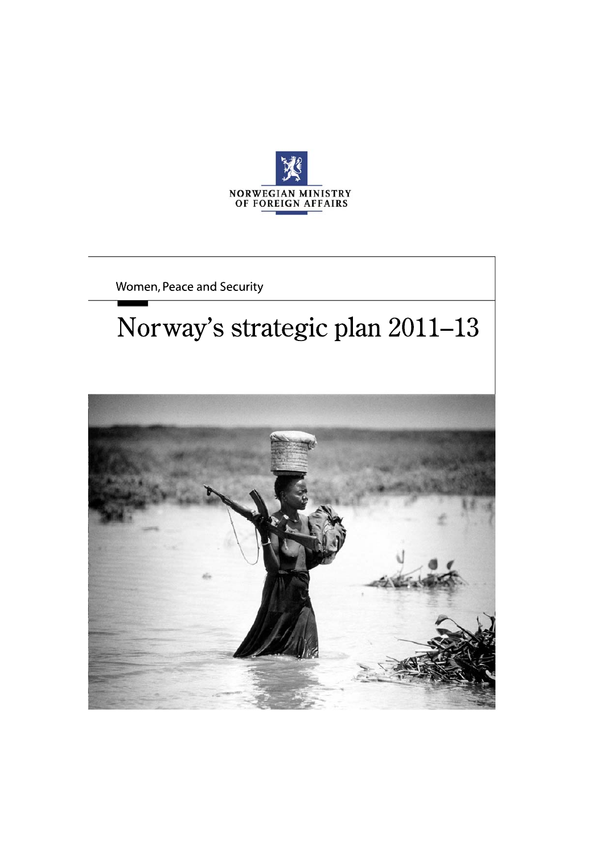

Women, Peace and Security

# Norway's strategic plan 2011-13

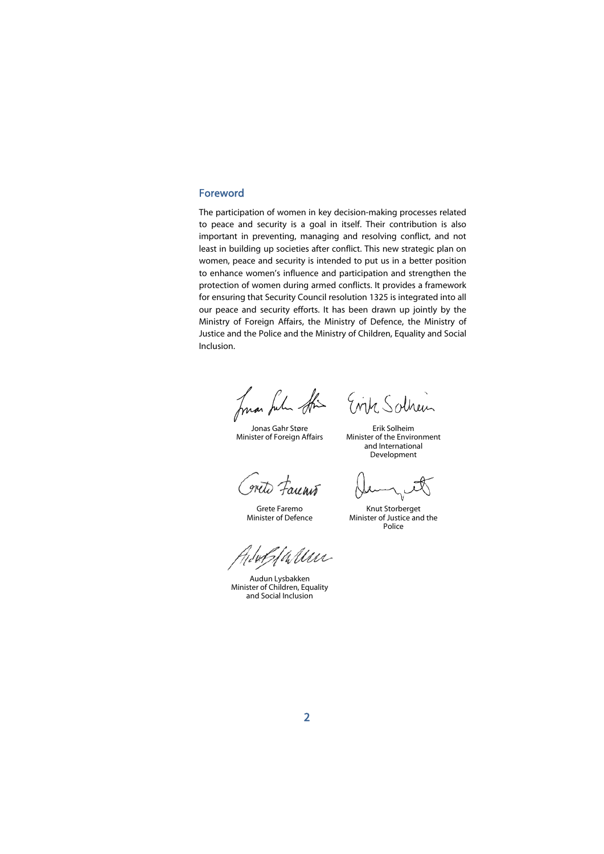#### Foreword

The participation of women in key decision-making processes related to peace and security is a goal in itself. Their contribution is also important in preventing, managing and resolving conflict, and not least in building up societies after conflict. This new strategic plan on women, peace and security is intended to put us in a better position to enhance women's influence and participation and strengthen the protection of women during armed conflicts. It provides a framework for ensuring that Security Council resolution 1325 is integrated into all our peace and security efforts. It has been drawn up jointly by the Ministry of Foreign Affairs, the Ministry of Defence, the Ministry of Justice and the Police and the Ministry of Children, Equality and Social Inclusion.

huan fulu Sti

 Jonas Gahr Støre Minister of Foreign Affairs

Evik Sothein

Erik Solheim Minister of the Environment and International Development

wite Faunit

 Grete Faremo Minister of Defence

Knut Storberget Minister of Justice and the Police

allen

 Audun Lysbakken Minister of Children, Equality and Social Inclusion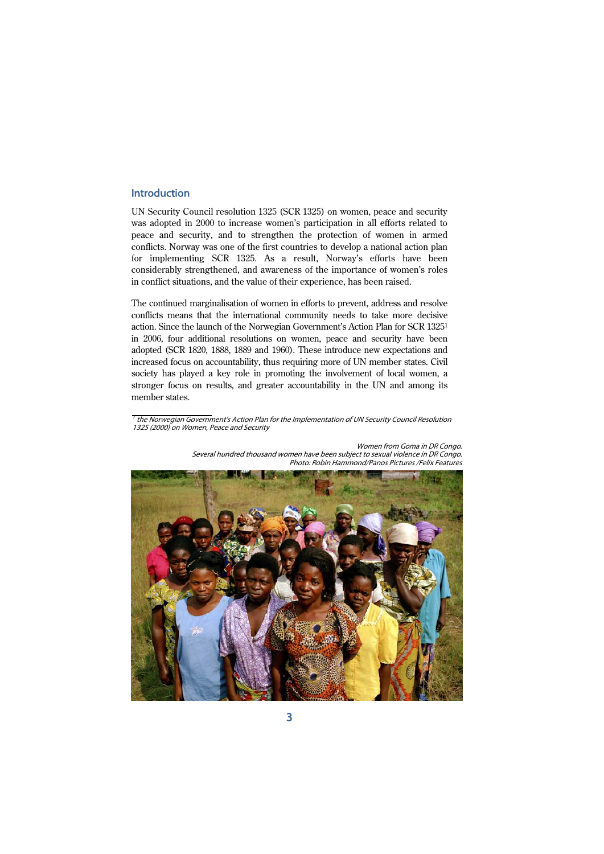## Introduction

UN Security Council resolution 1325 (SCR 1325) on women, peace and security was adopted in 2000 to increase women's participation in all efforts related to peace and security, and to strengthen the protection of women in armed conflicts. Norway was one of the first countries to develop a national action plan for implementing SCR 1325. As a result, Norway's efforts have been considerably strengthened, and awareness of the importance of women's roles in conflict situations, and the value of their experience, has been raised.

The continued marginalisation of women in efforts to prevent, address and resolve conflicts means that the international community needs to take more decisive action. Since the launch of the Norwegian Government's Action Plan for SCR 13251 in 2006, four additional resolutions on women, peace and security have been adopted (SCR 1820, 1888, 1889 and 1960). These introduce new expectations and increased focus on accountability, thus requiring more of UN member states. Civil society has played a key role in promoting the involvement of local women, a stronger focus on results, and greater accountability in the UN and among its member states.

 $^\prime$  the Norwegian Government's Action Plan for the Implementation of UN Security Council Resolution 1325 (2000) on Women, Peace and Security



Women from Goma in DR Congo. Several hundred thousand women have been subject to sexual violence in DR Congo. Photo: Robin Hammond/Panos Pictures /Felix Features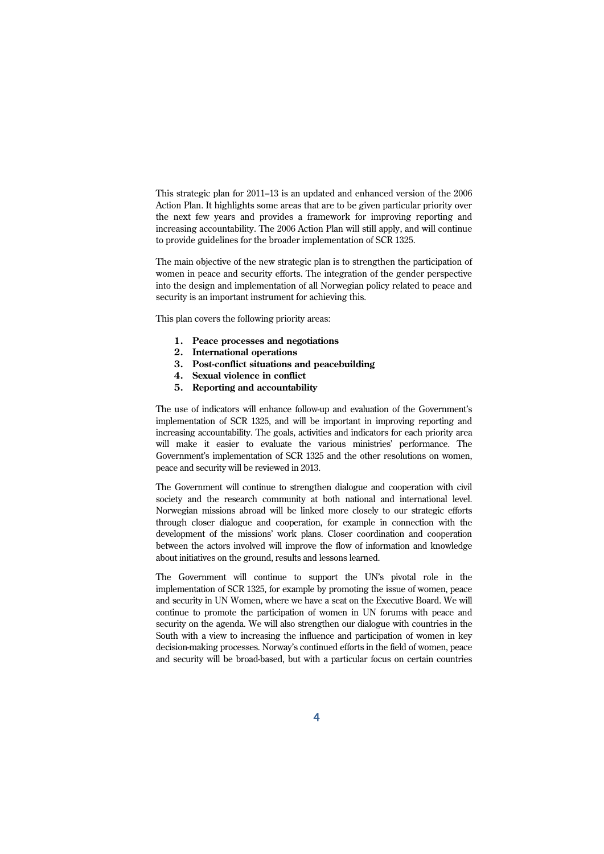This strategic plan for 2011–13 is an updated and enhanced version of the 2006 Action Plan. It highlights some areas that are to be given particular priority over the next few years and provides a framework for improving reporting and increasing accountability. The 2006 Action Plan will still apply, and will continue to provide guidelines for the broader implementation of SCR 1325.

The main objective of the new strategic plan is to strengthen the participation of women in peace and security efforts. The integration of the gender perspective into the design and implementation of all Norwegian policy related to peace and security is an important instrument for achieving this.

This plan covers the following priority areas:

- **1. Peace processes and negotiations**
- **2. International operations**
- **3. Post-conflict situations and peacebuilding**
- **4. Sexual violence in conflict**
- **5. Reporting and accountability**

The use of indicators will enhance follow-up and evaluation of the Government's implementation of SCR 1325, and will be important in improving reporting and increasing accountability. The goals, activities and indicators for each priority area will make it easier to evaluate the various ministries' performance. The Government's implementation of SCR 1325 and the other resolutions on women, peace and security will be reviewed in 2013.

The Government will continue to strengthen dialogue and cooperation with civil society and the research community at both national and international level. Norwegian missions abroad will be linked more closely to our strategic efforts through closer dialogue and cooperation, for example in connection with the development of the missions' work plans. Closer coordination and cooperation between the actors involved will improve the flow of information and knowledge about initiatives on the ground, results and lessons learned.

The Government will continue to support the UN's pivotal role in the implementation of SCR 1325, for example by promoting the issue of women, peace and security in UN Women, where we have a seat on the Executive Board. We will continue to promote the participation of women in UN forums with peace and security on the agenda. We will also strengthen our dialogue with countries in the South with a view to increasing the influence and participation of women in key decision-making processes. Norway's continued efforts in the field of women, peace and security will be broad-based, but with a particular focus on certain countries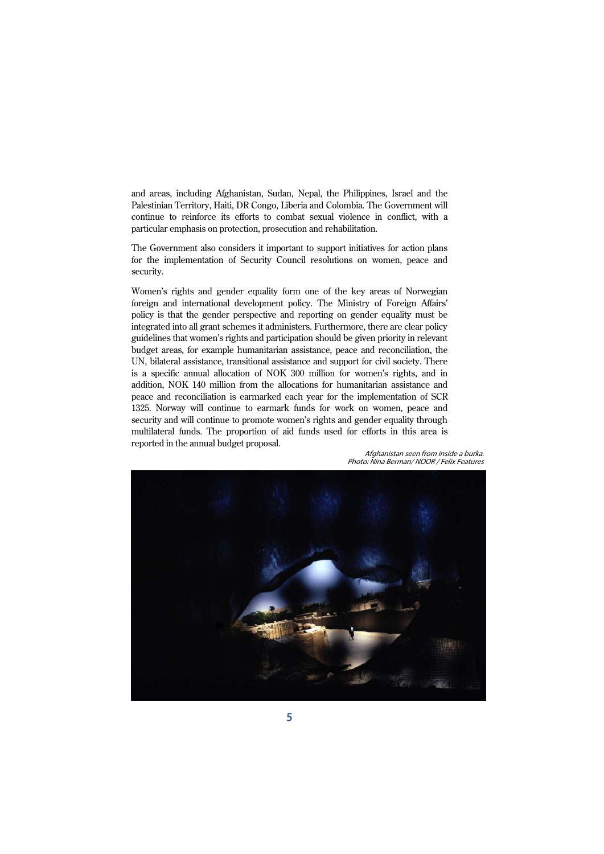and areas, including Afghanistan, Sudan, Nepal, the Philippines, Israel and the Palestinian Territory, Haiti, DR Congo, Liberia and Colombia. The Government will continue to reinforce its efforts to combat sexual violence in conflict, with a particular emphasis on protection, prosecution and rehabilitation.

The Government also considers it important to support initiatives for action plans for the implementation of Security Council resolutions on women, peace and security.

Women's rights and gender equality form one of the key areas of Norwegian foreign and international development policy. The Ministry of Foreign Affairs' policy is that the gender perspective and reporting on gender equality must be integrated into all grant schemes it administers. Furthermore, there are clear policy guidelines that women's rights and participation should be given priority in relevant budget areas, for example humanitarian assistance, peace and reconciliation, the UN, bilateral assistance, transitional assistance and support for civil society. There is a specific annual allocation of NOK 300 million for women's rights, and in addition, NOK 140 million from the allocations for humanitarian assistance and peace and reconciliation is earmarked each year for the implementation of SCR 1325. Norway will continue to earmark funds for work on women, peace and security and will continue to promote women's rights and gender equality through multilateral funds. The proportion of aid funds used for efforts in this area is reported in the annual budget proposal.



Afghanistan seen from inside a burka. Photo: Nina Berman/ NOOR / Felix Features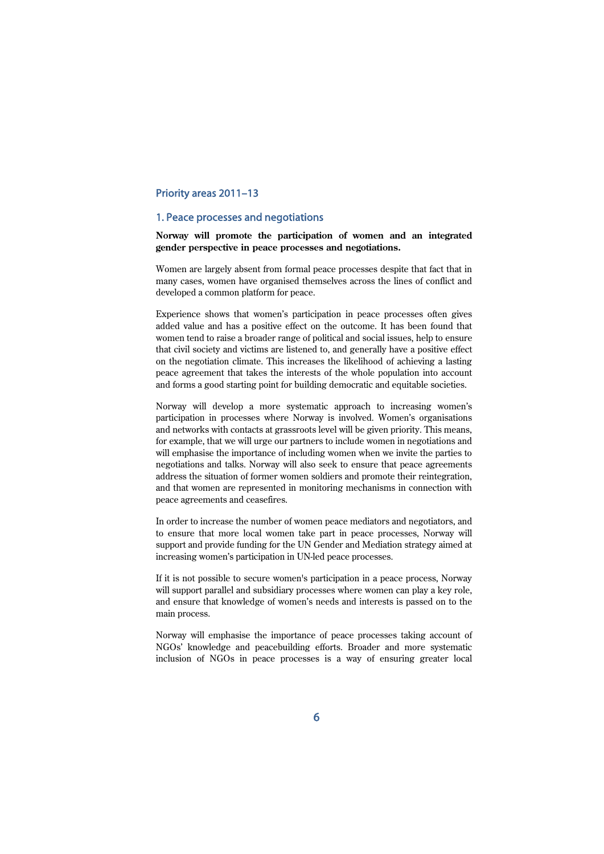# Priority areas 2011–13

## 1. Peace processes and negotiations

## **Norway will promote the participation of women and an integrated gender perspective in peace processes and negotiations.**

Women are largely absent from formal peace processes despite that fact that in many cases, women have organised themselves across the lines of conflict and developed a common platform for peace.

Experience shows that women's participation in peace processes often gives added value and has a positive effect on the outcome. It has been found that women tend to raise a broader range of political and social issues, help to ensure that civil society and victims are listened to, and generally have a positive effect on the negotiation climate. This increases the likelihood of achieving a lasting peace agreement that takes the interests of the whole population into account and forms a good starting point for building democratic and equitable societies.

Norway will develop a more systematic approach to increasing women's participation in processes where Norway is involved. Women's organisations and networks with contacts at grassroots level will be given priority. This means, for example, that we will urge our partners to include women in negotiations and will emphasise the importance of including women when we invite the parties to negotiations and talks. Norway will also seek to ensure that peace agreements address the situation of former women soldiers and promote their reintegration, and that women are represented in monitoring mechanisms in connection with peace agreements and ceasefires.

In order to increase the number of women peace mediators and negotiators, and to ensure that more local women take part in peace processes, Norway will support and provide funding for the UN Gender and Mediation strategy aimed at increasing women's participation in UN-led peace processes.

If it is not possible to secure women's participation in a peace process, Norway will support parallel and subsidiary processes where women can play a key role, and ensure that knowledge of women's needs and interests is passed on to the main process.

Norway will emphasise the importance of peace processes taking account of NGOs' knowledge and peacebuilding efforts. Broader and more systematic inclusion of NGOs in peace processes is a way of ensuring greater local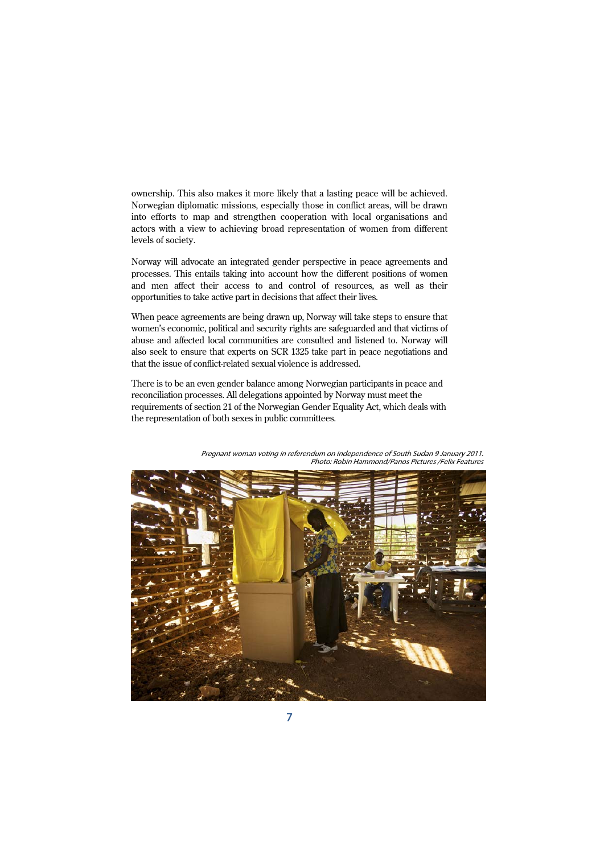ownership. This also makes it more likely that a lasting peace will be achieved. Norwegian diplomatic missions, especially those in conflict areas, will be drawn into efforts to map and strengthen cooperation with local organisations and actors with a view to achieving broad representation of women from different levels of society.

Norway will advocate an integrated gender perspective in peace agreements and processes. This entails taking into account how the different positions of women and men affect their access to and control of resources, as well as their opportunities to take active part in decisions that affect their lives.

When peace agreements are being drawn up, Norway will take steps to ensure that women's economic, political and security rights are safeguarded and that victims of abuse and affected local communities are consulted and listened to. Norway will also seek to ensure that experts on SCR 1325 take part in peace negotiations and that the issue of conflict-related sexual violence is addressed.

There is to be an even gender balance among Norwegian participants in peace and reconciliation processes. All delegations appointed by Norway must meet the requirements of section 21 of the Norwegian Gender Equality Act, which deals with the representation of both sexes in public committees.



Pregnant woman voting in referendum on independence of South Sudan 9 January 2011. Photo: Robin Hammond/Panos Pictures /Felix Features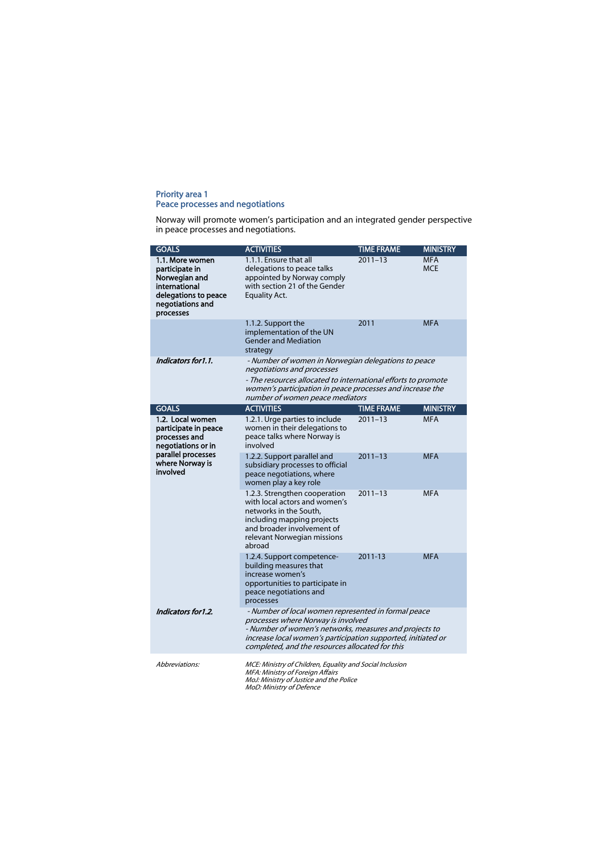#### Priority area 1 Peace processes and negotiations

Norway will promote women's participation and an integrated gender perspective in peace processes and negotiations.

| <b>GOALS</b>                                                                                                                         | <b>ACTIVITIES</b>                                                                                                                                                                                                                                                      | <b>TIME FRAME</b> | <b>MINISTRY</b>          |
|--------------------------------------------------------------------------------------------------------------------------------------|------------------------------------------------------------------------------------------------------------------------------------------------------------------------------------------------------------------------------------------------------------------------|-------------------|--------------------------|
| 1.1. More women<br>participate in<br>Norwegian and<br>international<br>delegations to peace<br>negotiations and<br>processes         | 1.1.1. Ensure that all<br>delegations to peace talks<br>appointed by Norway comply<br>with section 21 of the Gender<br><b>Equality Act.</b>                                                                                                                            | $2011 - 13$       | <b>MFA</b><br><b>MCE</b> |
|                                                                                                                                      | 1.1.2. Support the<br>implementation of the UN<br><b>Gender and Mediation</b><br>strategy                                                                                                                                                                              | 2011              | <b>MFA</b>               |
| Indicators for 1.1.                                                                                                                  | - Number of women in Norwegian delegations to peace<br>negotiations and processes                                                                                                                                                                                      |                   |                          |
|                                                                                                                                      | - The resources allocated to international efforts to promote<br>women's participation in peace processes and increase the<br>number of women peace mediators                                                                                                          |                   |                          |
| <b>GOALS</b>                                                                                                                         | <b>ACTIVITIES</b>                                                                                                                                                                                                                                                      | <b>TIME FRAME</b> | <b>MINISTRY</b>          |
| 1.2. Local women<br>participate in peace<br>processes and<br>negotiations or in<br>parallel processes<br>where Norway is<br>involved | 1.2.1. Urge parties to include<br>women in their delegations to<br>peace talks where Norway is<br>involved                                                                                                                                                             | $2011 - 13$       | <b>MFA</b>               |
|                                                                                                                                      | 1.2.2. Support parallel and<br>subsidiary processes to official<br>peace negotiations, where<br>women play a key role                                                                                                                                                  | $2011 - 13$       | <b>MFA</b>               |
|                                                                                                                                      | 1.2.3. Strengthen cooperation<br>with local actors and women's<br>networks in the South.<br>including mapping projects<br>and broader involvement of<br>relevant Norwegian missions<br>abroad                                                                          | $2011 - 13$       | <b>MFA</b>               |
|                                                                                                                                      | 1.2.4. Support competence-<br>building measures that<br>increase women's<br>opportunities to participate in<br>peace negotiations and<br>processes                                                                                                                     | 2011-13           | <b>MFA</b>               |
| Indicators for 1.2.                                                                                                                  | - Number of local women represented in formal peace<br>processes where Norway is involved<br>- Number of women's networks, measures and projects to<br>increase local women's participation supported, initiated or<br>completed, and the resources allocated for this |                   |                          |
| Abbreviations:                                                                                                                       | MCE: Ministry of Children, Equality and Social Inclusion<br>MFA: Ministry of Foreign Affairs<br>MoJ: Ministry of Justice and the Police<br>MoD: Ministry of Defence                                                                                                    |                   |                          |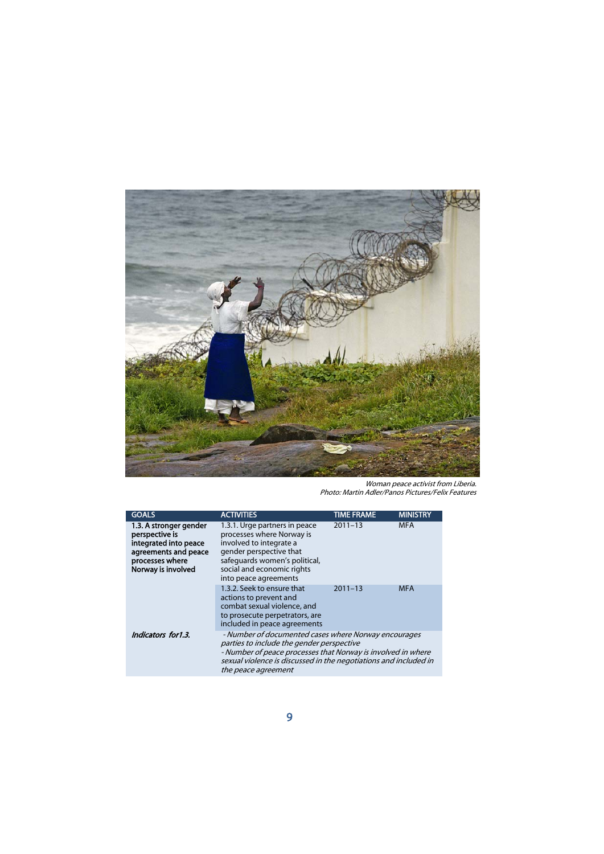

Woman peace activist from Liberia. Photo: Martin Adler/Panos Pictures/Felix Features

| <b>GOALS</b>                                                                                                                       | <b>ACTIVITIES</b>                                                                                                                                                                                                                                            | <b>TIME FRAME</b> | <b>MINISTRY</b> |
|------------------------------------------------------------------------------------------------------------------------------------|--------------------------------------------------------------------------------------------------------------------------------------------------------------------------------------------------------------------------------------------------------------|-------------------|-----------------|
| 1.3. A stronger gender<br>perspective is<br>integrated into peace<br>agreements and peace<br>processes where<br>Norway is involved | 1.3.1. Urge partners in peace<br>processes where Norway is<br>involved to integrate a<br>gender perspective that<br>safequards women's political,<br>social and economic rights<br>into peace agreements                                                     | $2011 - 13$       | <b>MFA</b>      |
|                                                                                                                                    | 1.3.2. Seek to ensure that<br>actions to prevent and<br>combat sexual violence, and<br>to prosecute perpetrators, are<br>included in peace agreements                                                                                                        | $2011 - 13$       | <b>MFA</b>      |
| Indicators for1.3.                                                                                                                 | - Number of documented cases where Norway encourages<br>parties to include the gender perspective<br>- Number of peace processes that Norway is involved in where<br>sexual violence is discussed in the negotiations and included in<br>the peace agreement |                   |                 |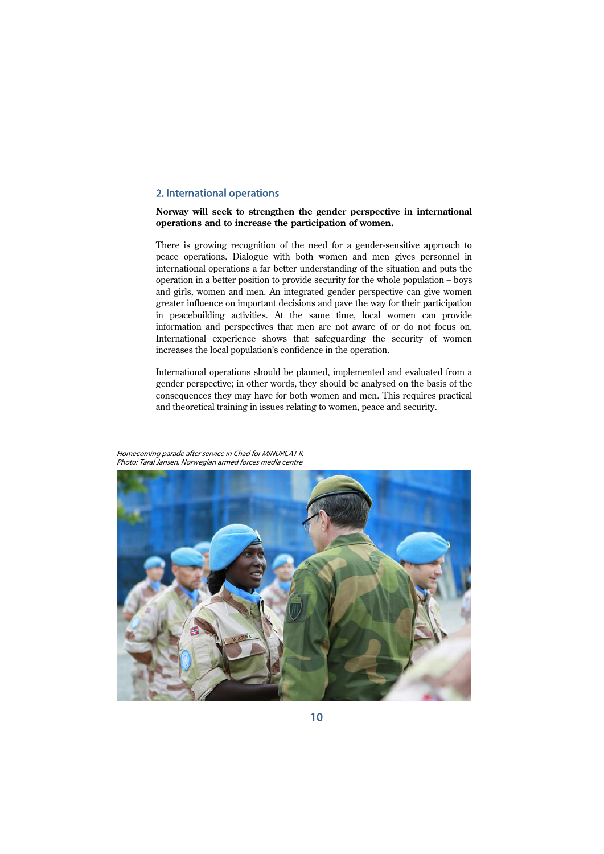# 2. International operations

### **Norway will seek to strengthen the gender perspective in international operations and to increase the participation of women.**

There is growing recognition of the need for a gender-sensitive approach to peace operations. Dialogue with both women and men gives personnel in international operations a far better understanding of the situation and puts the operation in a better position to provide security for the whole population – boys and girls, women and men. An integrated gender perspective can give women greater influence on important decisions and pave the way for their participation in peacebuilding activities. At the same time, local women can provide information and perspectives that men are not aware of or do not focus on. International experience shows that safeguarding the security of women increases the local population's confidence in the operation.

International operations should be planned, implemented and evaluated from a gender perspective; in other words, they should be analysed on the basis of the consequences they may have for both women and men. This requires practical and theoretical training in issues relating to women, peace and security.



Homecoming parade after service in Chad for MINURCAT II. Photo: Taral Jansen, Norwegian armed forces media centre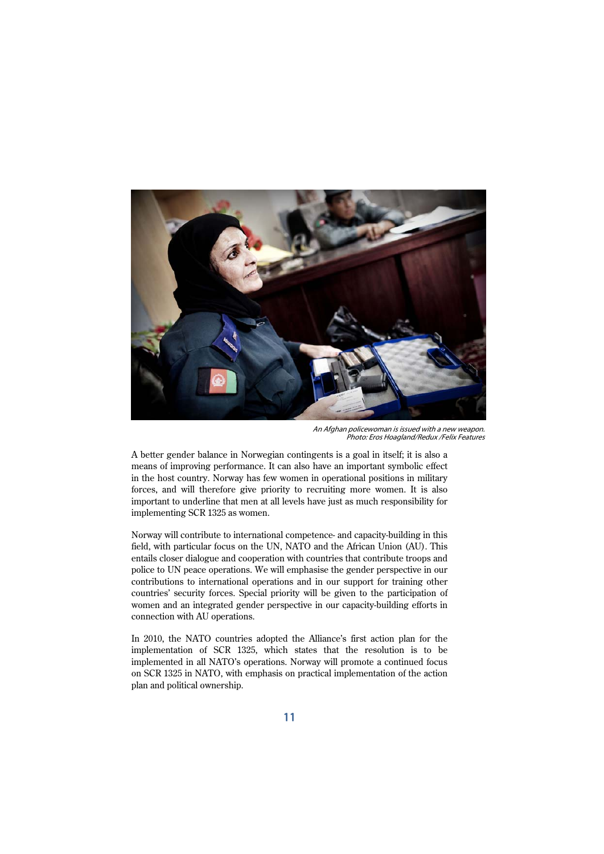

An Afghan policewoman is issued with a new weapon. Photo: Eros Hoagland/Redux /Felix Features

A better gender balance in Norwegian contingents is a goal in itself; it is also a means of improving performance. It can also have an important symbolic effect in the host country. Norway has few women in operational positions in military forces, and will therefore give priority to recruiting more women. It is also important to underline that men at all levels have just as much responsibility for implementing SCR 1325 as women.

Norway will contribute to international competence- and capacity-building in this field, with particular focus on the UN, NATO and the African Union (AU). This entails closer dialogue and cooperation with countries that contribute troops and police to UN peace operations. We will emphasise the gender perspective in our contributions to international operations and in our support for training other countries' security forces. Special priority will be given to the participation of women and an integrated gender perspective in our capacity-building efforts in connection with AU operations.

In 2010, the NATO countries adopted the Alliance's first action plan for the implementation of SCR 1325, which states that the resolution is to be implemented in all NATO's operations. Norway will promote a continued focus on SCR 1325 in NATO, with emphasis on practical implementation of the action plan and political ownership.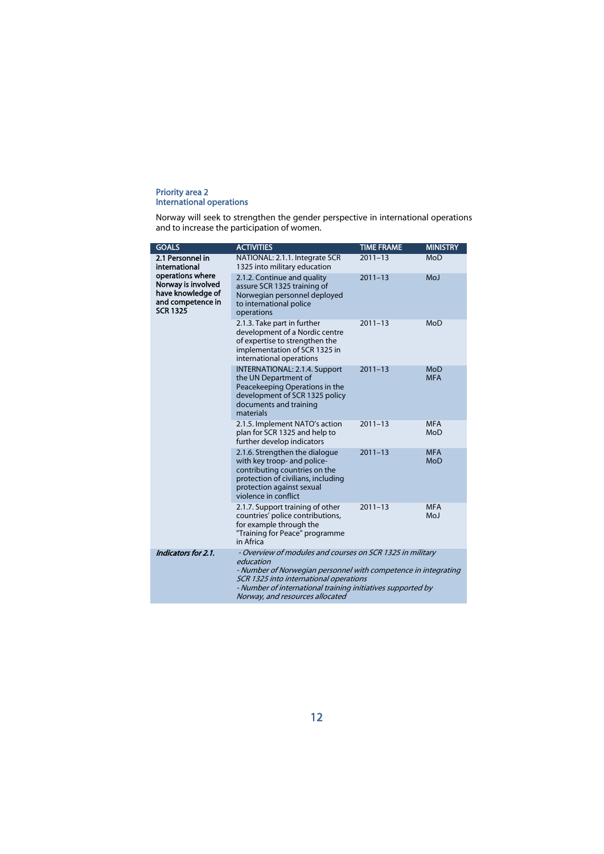#### Priority area 2 International operations

Norway will seek to strengthen the gender perspective in international operations and to increase the participation of women.

| <b>GOALS</b>                                                                                                                             | <b>ACTIVITIES</b>                                                                                                                                                                                                                                                                    | <b>TIME FRAME</b> | <b>MINISTRY</b>          |
|------------------------------------------------------------------------------------------------------------------------------------------|--------------------------------------------------------------------------------------------------------------------------------------------------------------------------------------------------------------------------------------------------------------------------------------|-------------------|--------------------------|
| 2.1 Personnel in<br>international<br>operations where<br>Norway is involved<br>have knowledge of<br>and competence in<br><b>SCR 1325</b> | NATIONAL: 2.1.1. Integrate SCR<br>1325 into military education                                                                                                                                                                                                                       | $2011 - 13$       | MoD                      |
|                                                                                                                                          | 2.1.2. Continue and quality<br>assure SCR 1325 training of<br>Norwegian personnel deployed<br>to international police<br>operations                                                                                                                                                  | $2011 - 13$       | MoJ                      |
|                                                                                                                                          | 2.1.3. Take part in further<br>development of a Nordic centre<br>of expertise to strengthen the<br>implementation of SCR 1325 in<br>international operations                                                                                                                         | $2011 - 13$       | MoD                      |
|                                                                                                                                          | <b>INTERNATIONAL: 2.1.4. Support</b><br>the UN Department of<br>Peacekeeping Operations in the<br>development of SCR 1325 policy<br>documents and training<br>materials                                                                                                              | $2011 - 13$       | <b>MoD</b><br><b>MFA</b> |
|                                                                                                                                          | 2.1.5. Implement NATO's action<br>plan for SCR 1325 and help to<br>further develop indicators                                                                                                                                                                                        | $2011 - 13$       | <b>MFA</b><br>MoD        |
|                                                                                                                                          | 2.1.6. Strengthen the dialogue<br>with key troop- and police-<br>contributing countries on the<br>protection of civilians, including<br>protection against sexual<br>violence in conflict                                                                                            | $2011 - 13$       | <b>MFA</b><br><b>MoD</b> |
|                                                                                                                                          | 2.1.7. Support training of other<br>countries' police contributions,<br>for example through the<br>"Training for Peace" programme<br>in Africa                                                                                                                                       | $2011 - 13$       | <b>MFA</b><br>MoJ        |
| Indicators for 2.1.                                                                                                                      | - Overview of modules and courses on SCR 1325 in military<br>education<br>- Number of Norwegian personnel with competence in integrating<br>SCR 1325 into international operations<br>- Number of international training initiatives supported by<br>Norway, and resources allocated |                   |                          |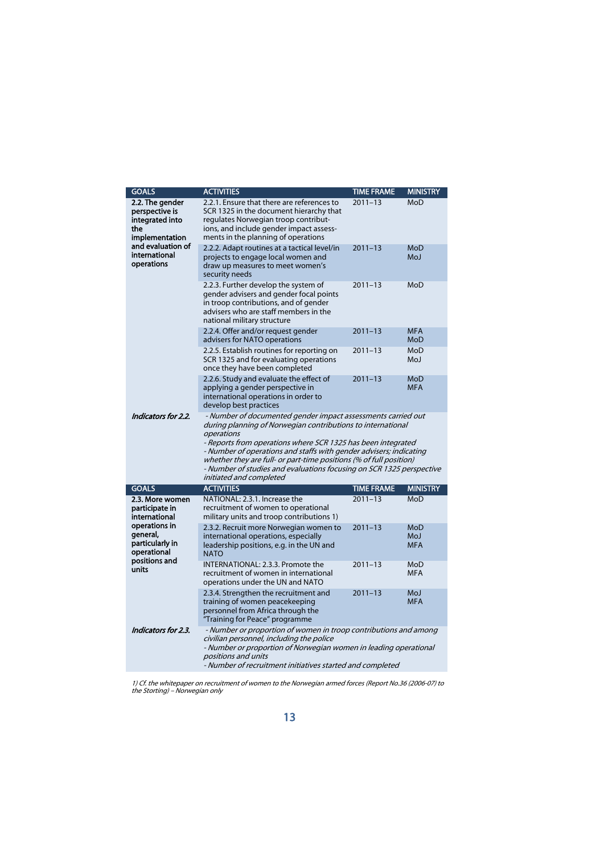| <b>GOALS</b>                                                                                                                                | <b>ACTIVITIES</b>                                                                                                                                                                                                                                                                                                                                                                                                                                        | <b>TIME FRAME</b> | <b>MINISTRY</b>                        |
|---------------------------------------------------------------------------------------------------------------------------------------------|----------------------------------------------------------------------------------------------------------------------------------------------------------------------------------------------------------------------------------------------------------------------------------------------------------------------------------------------------------------------------------------------------------------------------------------------------------|-------------------|----------------------------------------|
| 2.2. The gender<br>perspective is<br>integrated into<br>the<br>implementation<br>and evaluation of<br>international<br>operations           | 2.2.1. Ensure that there are references to<br>SCR 1325 in the document hierarchy that<br>regulates Norwegian troop contribut-<br>ions, and include gender impact assess-<br>ments in the planning of operations                                                                                                                                                                                                                                          | $2011 - 13$       | MoD                                    |
|                                                                                                                                             | 2.2.2. Adapt routines at a tactical level/in<br>projects to engage local women and<br>draw up measures to meet women's<br>security needs                                                                                                                                                                                                                                                                                                                 | $2011 - 13$       | MoD<br><b>MoJ</b>                      |
|                                                                                                                                             | 2.2.3. Further develop the system of<br>gender advisers and gender focal points<br>in troop contributions, and of gender<br>advisers who are staff members in the<br>national military structure                                                                                                                                                                                                                                                         | $2011 - 13$       | MoD                                    |
|                                                                                                                                             | 2.2.4. Offer and/or request gender<br>advisers for NATO operations                                                                                                                                                                                                                                                                                                                                                                                       | $2011 - 13$       | <b>MFA</b><br>MoD                      |
|                                                                                                                                             | 2.2.5. Establish routines for reporting on<br>SCR 1325 and for evaluating operations<br>once they have been completed                                                                                                                                                                                                                                                                                                                                    | $2011 - 13$       | MoD<br><b>MoJ</b>                      |
|                                                                                                                                             | 2.2.6. Study and evaluate the effect of<br>applying a gender perspective in<br>international operations in order to<br>develop best practices                                                                                                                                                                                                                                                                                                            | $2011 - 13$       | <b>MoD</b><br><b>MFA</b>               |
| Indicators for 2.2.                                                                                                                         | - Number of documented gender impact assessments carried out<br>during planning of Norwegian contributions to international<br>operations<br>- Reports from operations where SCR 1325 has been integrated<br>- Number of operations and staffs with gender advisers; indicating<br>whether they are full- or part-time positions (% of full position)<br>- Number of studies and evaluations focusing on SCR 1325 perspective<br>initiated and completed |                   |                                        |
| <b>GOALS</b>                                                                                                                                | <b>ACTIVITIES</b>                                                                                                                                                                                                                                                                                                                                                                                                                                        | <b>TIME FRAME</b> | <b>MINISTRY</b>                        |
| 2.3. More women<br>participate in<br>international<br>operations in<br>general,<br>particularly in<br>operational<br>positions and<br>units | NATIONAL: 2.3.1. Increase the<br>recruitment of women to operational<br>military units and troop contributions 1)                                                                                                                                                                                                                                                                                                                                        | $2011 - 13$       | MoD                                    |
|                                                                                                                                             | 2.3.2. Recruit more Norwegian women to<br>international operations, especially<br>leadership positions, e.g. in the UN and<br><b>NATO</b>                                                                                                                                                                                                                                                                                                                | $2011 - 13$       | <b>MoD</b><br><b>MoJ</b><br><b>MFA</b> |
|                                                                                                                                             | INTERNATIONAL: 2.3.3. Promote the<br>recruitment of women in international<br>operations under the UN and NATO                                                                                                                                                                                                                                                                                                                                           | $2011 - 13$       | MoD<br><b>MFA</b>                      |
|                                                                                                                                             | 2.3.4. Strengthen the recruitment and<br>training of women peacekeeping<br>personnel from Africa through the<br>"Training for Peace" programme                                                                                                                                                                                                                                                                                                           | $2011 - 13$       | MoJ<br><b>MFA</b>                      |
| Indicators for 2.3.                                                                                                                         | - Number or proportion of women in troop contributions and among<br>civilian personnel, including the police<br>- Number or proportion of Norwegian women in leading operational<br>positions and units<br>- Number of recruitment initiatives started and completed                                                                                                                                                                                     |                   |                                        |

1) Cf. the whitepaper on recruitment of women to the Norwegian armed forces (Report No.36 (2006-07) to the Storting) – Norwegian only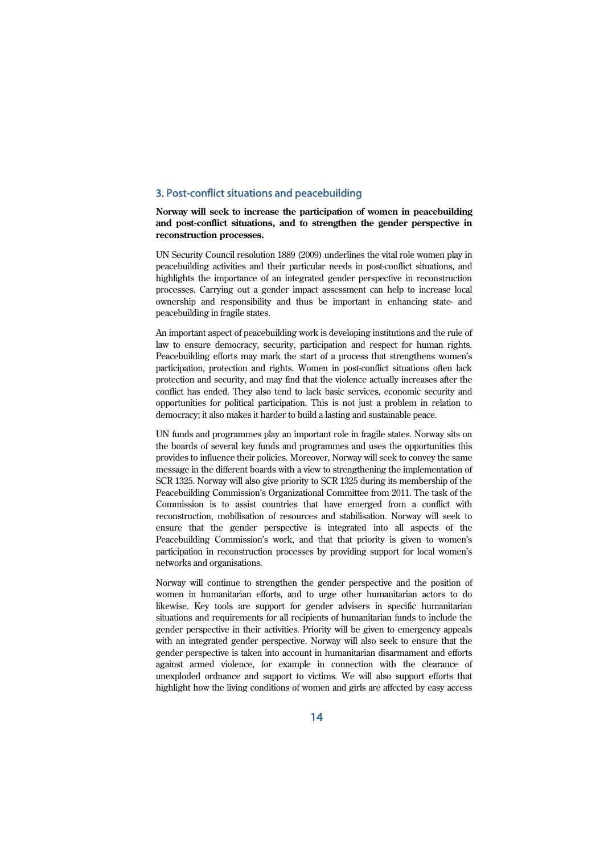# 3. Post-conflict situations and peacebuilding

## **Norway will seek to increase the participation of women in peacebuilding and post-conflict situations, and to strengthen the gender perspective in reconstruction processes.**

UN Security Council resolution 1889 (2009) underlines the vital role women play in peacebuilding activities and their particular needs in post-conflict situations, and highlights the importance of an integrated gender perspective in reconstruction processes. Carrying out a gender impact assessment can help to increase local ownership and responsibility and thus be important in enhancing state- and peacebuilding in fragile states.

An important aspect of peacebuilding work is developing institutions and the rule of law to ensure democracy, security, participation and respect for human rights. Peacebuilding efforts may mark the start of a process that strengthens women's participation, protection and rights. Women in post-conflict situations often lack protection and security, and may find that the violence actually increases after the conflict has ended. They also tend to lack basic services, economic security and opportunities for political participation. This is not just a problem in relation to democracy; it also makes it harder to build a lasting and sustainable peace.

UN funds and programmes play an important role in fragile states. Norway sits on the boards of several key funds and programmes and uses the opportunities this provides to influence their policies. Moreover, Norway will seek to convey the same message in the different boards with a view to strengthening the implementation of SCR 1325. Norway will also give priority to SCR 1325 during its membership of the Peacebuilding Commission's Organizational Committee from 2011. The task of the Commission is to assist countries that have emerged from a conflict with reconstruction, mobilisation of resources and stabilisation. Norway will seek to ensure that the gender perspective is integrated into all aspects of the Peacebuilding Commission's work, and that that priority is given to women's participation in reconstruction processes by providing support for local women's networks and organisations.

Norway will continue to strengthen the gender perspective and the position of women in humanitarian efforts, and to urge other humanitarian actors to do likewise. Key tools are support for gender advisers in specific humanitarian situations and requirements for all recipients of humanitarian funds to include the gender perspective in their activities. Priority will be given to emergency appeals with an integrated gender perspective. Norway will also seek to ensure that the gender perspective is taken into account in humanitarian disarmament and efforts against armed violence, for example in connection with the clearance of unexploded ordnance and support to victims. We will also support efforts that highlight how the living conditions of women and girls are affected by easy access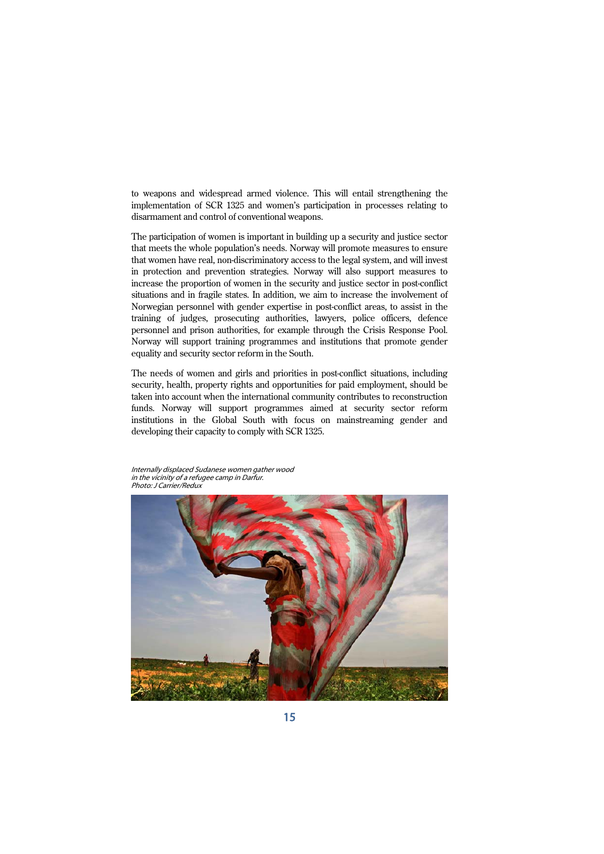to weapons and widespread armed violence. This will entail strengthening the implementation of SCR 1325 and women's participation in processes relating to disarmament and control of conventional weapons.

The participation of women is important in building up a security and justice sector that meets the whole population's needs. Norway will promote measures to ensure that women have real, non-discriminatory access to the legal system, and will invest in protection and prevention strategies. Norway will also support measures to increase the proportion of women in the security and justice sector in post-conflict situations and in fragile states. In addition, we aim to increase the involvement of Norwegian personnel with gender expertise in post-conflict areas, to assist in the training of judges, prosecuting authorities, lawyers, police officers, defence personnel and prison authorities, for example through the Crisis Response Pool. Norway will support training programmes and institutions that promote gender equality and security sector reform in the South.

The needs of women and girls and priorities in post-conflict situations, including security, health, property rights and opportunities for paid employment, should be taken into account when the international community contributes to reconstruction funds. Norway will support programmes aimed at security sector reform institutions in the Global South with focus on mainstreaming gender and developing their capacity to comply with SCR 1325.

Internally displaced Sudanese women gather wood in the vicinity of a refugee camp in Darfur. Photo: J Carrier/Redux

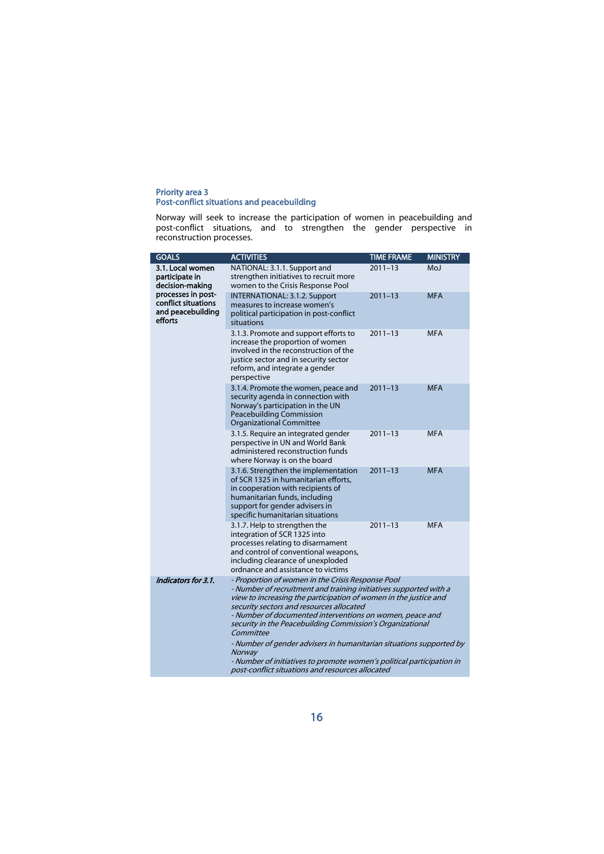#### Priority area 3 Post-conflict situations and peacebuilding

Norway will seek to increase the participation of women in peacebuilding and post-conflict situations, and to strengthen the gender perspective in reconstruction processes.

| <b>GOALS</b>                                                                                                                                                                                                                                                                                                                                                                                                                                                                                                                                                                                                      | <b>ACTIVITIES</b>                                                                                                                                                                                                        | <b>TIME FRAME</b> | <b>MINISTRY</b> |
|-------------------------------------------------------------------------------------------------------------------------------------------------------------------------------------------------------------------------------------------------------------------------------------------------------------------------------------------------------------------------------------------------------------------------------------------------------------------------------------------------------------------------------------------------------------------------------------------------------------------|--------------------------------------------------------------------------------------------------------------------------------------------------------------------------------------------------------------------------|-------------------|-----------------|
| 3.1. Local women<br>participate in<br>decision-making<br>processes in post-<br>conflict situations<br>and peacebuilding<br>efforts                                                                                                                                                                                                                                                                                                                                                                                                                                                                                | NATIONAL: 3.1.1. Support and<br>strengthen initiatives to recruit more<br>women to the Crisis Response Pool                                                                                                              | $2011 - 13$       | MoJ             |
|                                                                                                                                                                                                                                                                                                                                                                                                                                                                                                                                                                                                                   | INTERNATIONAL: 3.1.2. Support<br>measures to increase women's<br>political participation in post-conflict<br>situations                                                                                                  | $2011 - 13$       | <b>MFA</b>      |
|                                                                                                                                                                                                                                                                                                                                                                                                                                                                                                                                                                                                                   | 3.1.3. Promote and support efforts to<br>increase the proportion of women<br>involved in the reconstruction of the<br>justice sector and in security sector<br>reform, and integrate a gender<br>perspective             | $2011 - 13$       | <b>MFA</b>      |
|                                                                                                                                                                                                                                                                                                                                                                                                                                                                                                                                                                                                                   | 3.1.4. Promote the women, peace and<br>security agenda in connection with<br>Norway's participation in the UN<br><b>Peacebuilding Commission</b><br><b>Organizational Committee</b>                                      | $2011 - 13$       | <b>MFA</b>      |
|                                                                                                                                                                                                                                                                                                                                                                                                                                                                                                                                                                                                                   | 3.1.5. Require an integrated gender<br>perspective in UN and World Bank<br>administered reconstruction funds<br>where Norway is on the board                                                                             | $2011 - 13$       | <b>MFA</b>      |
|                                                                                                                                                                                                                                                                                                                                                                                                                                                                                                                                                                                                                   | 3.1.6. Strengthen the implementation<br>of SCR 1325 in humanitarian efforts.<br>in cooperation with recipients of<br>humanitarian funds, including<br>support for gender advisers in<br>specific humanitarian situations | $2011 - 13$       | <b>MFA</b>      |
|                                                                                                                                                                                                                                                                                                                                                                                                                                                                                                                                                                                                                   | 3.1.7. Help to strengthen the<br>integration of SCR 1325 into<br>processes relating to disarmament<br>and control of conventional weapons,<br>including clearance of unexploded<br>ordnance and assistance to victims    | $2011 - 13$       | <b>MFA</b>      |
| Indicators for 3.1.<br>- Proportion of women in the Crisis Response Pool<br>- Number of recruitment and training initiatives supported with a<br>view to increasing the participation of women in the justice and<br>security sectors and resources allocated<br>- Number of documented interventions on women, peace and<br>security in the Peacebuilding Commission's Organizational<br>Committee<br>- Number of gender advisers in humanitarian situations supported by<br>Norway<br>- Number of initiatives to promote women's political participation in<br>post-conflict situations and resources allocated |                                                                                                                                                                                                                          |                   |                 |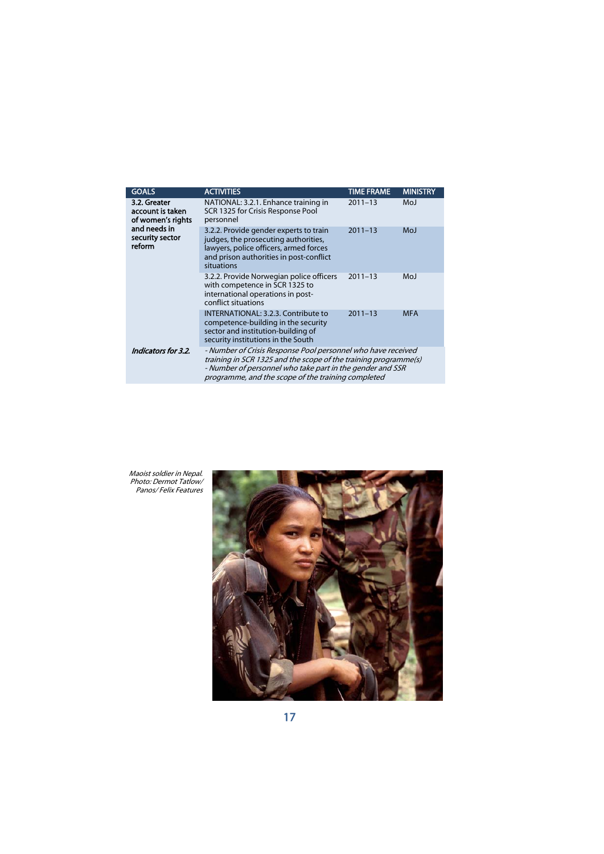| <b>GOALS</b>                                                                                       | <b>ACTIVITIES</b>                                                                                                                                                                                                                                  | <b>TIME FRAME</b> | <b>MINISTRY</b> |
|----------------------------------------------------------------------------------------------------|----------------------------------------------------------------------------------------------------------------------------------------------------------------------------------------------------------------------------------------------------|-------------------|-----------------|
| 3.2. Greater<br>account is taken<br>of women's rights<br>and needs in<br>security sector<br>reform | NATIONAL: 3.2.1. Enhance training in<br>SCR 1325 for Crisis Response Pool<br>personnel                                                                                                                                                             | $2011 - 13$       | MoJ             |
|                                                                                                    | 3.2.2. Provide gender experts to train<br>judges, the prosecuting authorities,<br>lawyers, police officers, armed forces<br>and prison authorities in post-conflict<br>situations                                                                  | $2011 - 13$       | MoJ             |
|                                                                                                    | 3.2.2. Provide Norwegian police officers<br>with competence in SCR 1325 to<br>international operations in post-<br>conflict situations                                                                                                             | $2011 - 13$       | MoJ             |
|                                                                                                    | INTERNATIONAL: 3.2.3. Contribute to<br>competence-building in the security<br>sector and institution-building of<br>security institutions in the South                                                                                             | $2011 - 13$       | <b>MFA</b>      |
| Indicators for 3.2.                                                                                | - Number of Crisis Response Pool personnel who have received<br>training in SCR 1325 and the scope of the training programme(s)<br>- Number of personnel who take part in the gender and SSR<br>programme, and the scope of the training completed |                   |                 |
|                                                                                                    |                                                                                                                                                                                                                                                    |                   |                 |

Maoist soldier in Nepal. Photo: Dermot Tatlow/ Panos/ Felix Features

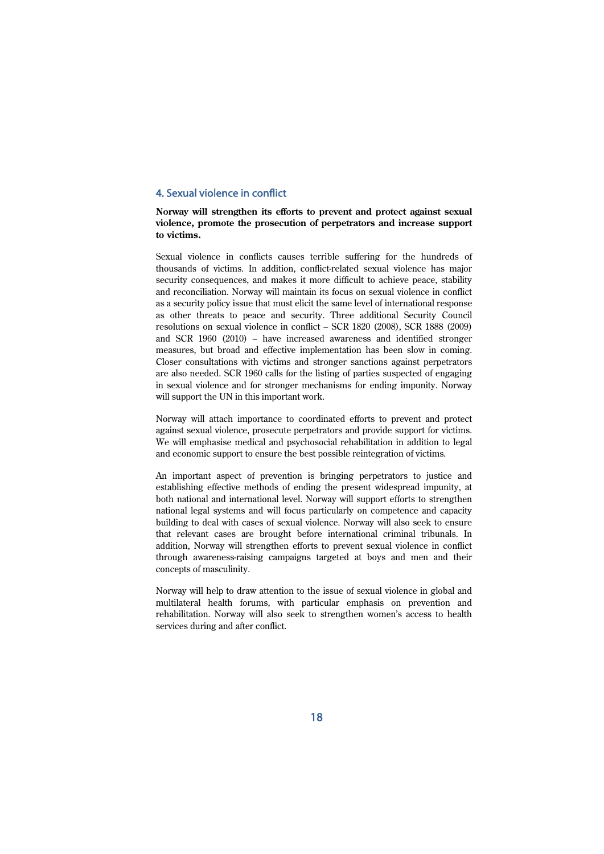# 4. Sexual violence in conflict

## **Norway will strengthen its efforts to prevent and protect against sexual violence, promote the prosecution of perpetrators and increase support to victims.**

Sexual violence in conflicts causes terrible suffering for the hundreds of thousands of victims. In addition, conflict-related sexual violence has major security consequences, and makes it more difficult to achieve peace, stability and reconciliation. Norway will maintain its focus on sexual violence in conflict as a security policy issue that must elicit the same level of international response as other threats to peace and security. Three additional Security Council resolutions on sexual violence in conflict – SCR 1820 (2008), SCR 1888 (2009) and SCR 1960 (2010) – have increased awareness and identified stronger measures, but broad and effective implementation has been slow in coming. Closer consultations with victims and stronger sanctions against perpetrators are also needed. SCR 1960 calls for the listing of parties suspected of engaging in sexual violence and for stronger mechanisms for ending impunity. Norway will support the UN in this important work.

Norway will attach importance to coordinated efforts to prevent and protect against sexual violence, prosecute perpetrators and provide support for victims. We will emphasise medical and psychosocial rehabilitation in addition to legal and economic support to ensure the best possible reintegration of victims.

An important aspect of prevention is bringing perpetrators to justice and establishing effective methods of ending the present widespread impunity, at both national and international level. Norway will support efforts to strengthen national legal systems and will focus particularly on competence and capacity building to deal with cases of sexual violence. Norway will also seek to ensure that relevant cases are brought before international criminal tribunals. In addition, Norway will strengthen efforts to prevent sexual violence in conflict through awareness-raising campaigns targeted at boys and men and their concepts of masculinity.

Norway will help to draw attention to the issue of sexual violence in global and multilateral health forums, with particular emphasis on prevention and rehabilitation. Norway will also seek to strengthen women's access to health services during and after conflict.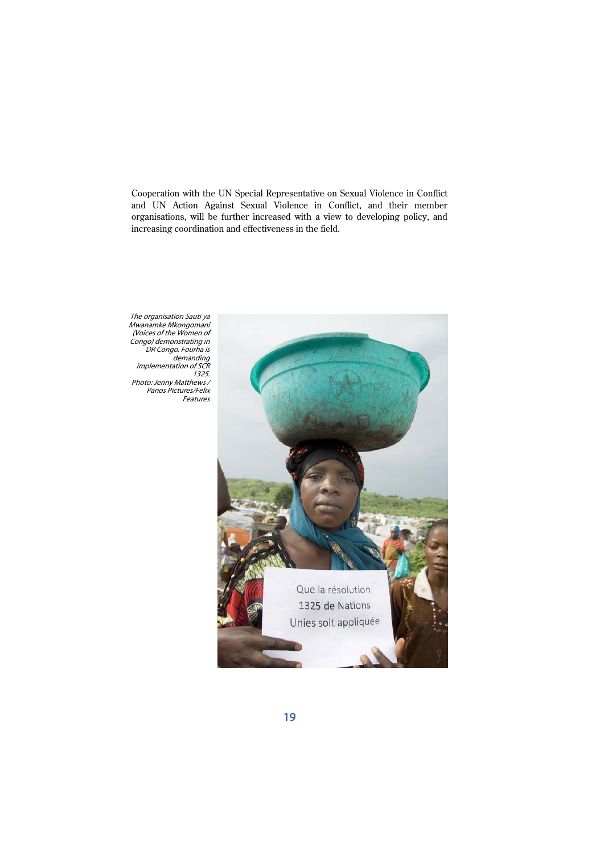Cooperation with the UN Special Representative on Sexual Violence in Conflict and UN Action Against Sexual Violence in Conflict, and their member organisations, will be further increased with a view to developing policy, and increasing coordination and effectiveness in the field.

The organisation Sauti ya Mwanamke Mkongomani (Voices of the Women of Congo) demonstrating in DR Congo. Fourha is demanding implementation of SCR 1325. Photo: Jenny Matthews / Panos Pictures/Felix Features

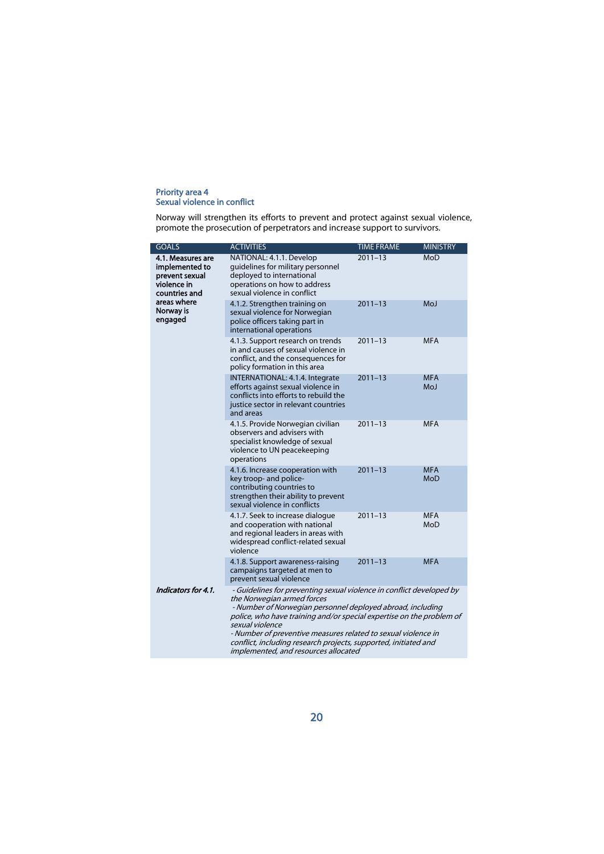#### Priority area 4 Sexual violence in conflict

Norway will strengthen its efforts to prevent and protect against sexual violence, promote the prosecution of perpetrators and increase support to survivors.

| <b>GOALS</b>                                                                                                                 | <b>ACTIVITIES</b>                                                                                                                                                                                                                                                                                                                                                                                                                       | <b>TIME FRAME</b> | <b>MINISTRY</b>   |
|------------------------------------------------------------------------------------------------------------------------------|-----------------------------------------------------------------------------------------------------------------------------------------------------------------------------------------------------------------------------------------------------------------------------------------------------------------------------------------------------------------------------------------------------------------------------------------|-------------------|-------------------|
| 4.1. Measures are<br>implemented to<br>prevent sexual<br>violence in<br>countries and<br>areas where<br>Norway is<br>engaged | NATIONAL: 4.1.1. Develop<br>quidelines for military personnel<br>deployed to international<br>operations on how to address<br>sexual violence in conflict                                                                                                                                                                                                                                                                               | $2011 - 13$       | MoD               |
|                                                                                                                              | 4.1.2. Strengthen training on<br>sexual violence for Norwegian<br>police officers taking part in<br>international operations                                                                                                                                                                                                                                                                                                            | $2011 - 13$       | MoJ               |
|                                                                                                                              | 4.1.3. Support research on trends<br>in and causes of sexual violence in<br>conflict, and the consequences for<br>policy formation in this area                                                                                                                                                                                                                                                                                         | $2011 - 13$       | <b>MFA</b>        |
|                                                                                                                              | INTERNATIONAL: 4.1.4. Integrate<br>efforts against sexual violence in<br>conflicts into efforts to rebuild the<br>justice sector in relevant countries<br>and areas                                                                                                                                                                                                                                                                     | $2011 - 13$       | <b>MFA</b><br>MoJ |
|                                                                                                                              | 4.1.5. Provide Norwegian civilian<br>observers and advisers with<br>specialist knowledge of sexual<br>violence to UN peacekeeping<br>operations                                                                                                                                                                                                                                                                                         | $2011 - 13$       | <b>MFA</b>        |
|                                                                                                                              | 4.1.6. Increase cooperation with<br>key troop- and police-<br>contributing countries to<br>strengthen their ability to prevent<br>sexual violence in conflicts                                                                                                                                                                                                                                                                          | $2011 - 13$       | <b>MFA</b><br>MoD |
|                                                                                                                              | 4.1.7. Seek to increase dialogue<br>and cooperation with national<br>and regional leaders in areas with<br>widespread conflict-related sexual<br>violence                                                                                                                                                                                                                                                                               | $2011 - 13$       | <b>MFA</b><br>MoD |
|                                                                                                                              | 4.1.8. Support awareness-raising<br>campaigns targeted at men to<br>prevent sexual violence                                                                                                                                                                                                                                                                                                                                             | $2011 - 13$       | <b>MFA</b>        |
| Indicators for 4.1.                                                                                                          | - Guidelines for preventing sexual violence in conflict developed by<br>the Norwegian armed forces<br>- Number of Norwegian personnel deployed abroad, including<br>police, who have training and/or special expertise on the problem of<br>sexual violence<br>- Number of preventive measures related to sexual violence in<br>conflict, including research projects, supported, initiated and<br>implemented, and resources allocated |                   |                   |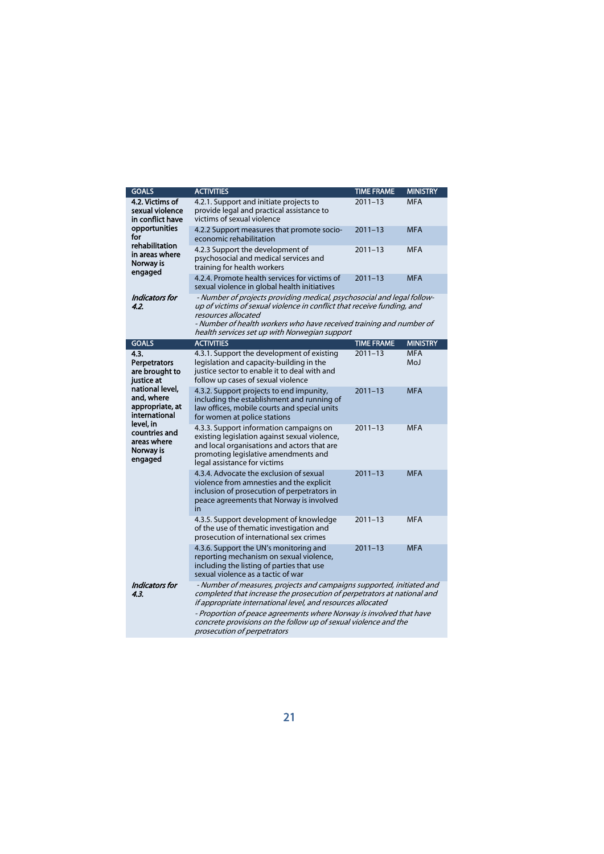| <b>GOALS</b>                                                                                                                                                                                          | <b>ACTIVITIES</b>                                                                                                                                                                                                                              | <b>TIME FRAME</b> | <b>MINISTRY</b>   |
|-------------------------------------------------------------------------------------------------------------------------------------------------------------------------------------------------------|------------------------------------------------------------------------------------------------------------------------------------------------------------------------------------------------------------------------------------------------|-------------------|-------------------|
| 4.2. Victims of<br>sexual violence<br>in conflict have                                                                                                                                                | 4.2.1. Support and initiate projects to<br>provide legal and practical assistance to<br>victims of sexual violence                                                                                                                             | $2011 - 13$       | <b>MFA</b>        |
| opportunities<br>for                                                                                                                                                                                  | 4.2.2 Support measures that promote socio-<br>economic rehabilitation                                                                                                                                                                          | $2011 - 13$       | <b>MFA</b>        |
| rehabilitation<br>in areas where<br>Norway is<br>engaged                                                                                                                                              | 4.2.3 Support the development of<br>psychosocial and medical services and<br>training for health workers                                                                                                                                       | $2011 - 13$       | <b>MFA</b>        |
|                                                                                                                                                                                                       | 4.2.4. Promote health services for victims of<br>sexual violence in global health initiatives                                                                                                                                                  | $2011 - 13$       | <b>MFA</b>        |
| Indicators for<br>4.2.                                                                                                                                                                                | - Number of projects providing medical, psychosocial and legal follow-<br>up of victims of sexual violence in conflict that receive funding, and<br>resources allocated<br>- Number of health workers who have received training and number of |                   |                   |
|                                                                                                                                                                                                       | health services set up with Norwegian support                                                                                                                                                                                                  |                   |                   |
| <b>GOALS</b>                                                                                                                                                                                          | <b>ACTIVITIES</b>                                                                                                                                                                                                                              | <b>TIME FRAME</b> | <b>MINISTRY</b>   |
| 4.3.<br><b>Perpetrators</b><br>are brought to<br>justice at<br>national level.<br>and, where<br>appropriate, at<br>international<br>level, in<br>countries and<br>areas where<br>Norway is<br>engaged | 4.3.1. Support the development of existing<br>legislation and capacity-building in the<br>justice sector to enable it to deal with and<br>follow up cases of sexual violence                                                                   | $2011 - 13$       | <b>MFA</b><br>MoJ |
|                                                                                                                                                                                                       | 4.3.2. Support projects to end impunity,<br>including the establishment and running of<br>law offices, mobile courts and special units<br>for women at police stations                                                                         | $2011 - 13$       | <b>MFA</b>        |
|                                                                                                                                                                                                       | 4.3.3. Support information campaigns on<br>existing legislation against sexual violence,<br>and local organisations and actors that are<br>promoting legislative amendments and<br>legal assistance for victims                                | $2011 - 13$       | <b>MFA</b>        |
|                                                                                                                                                                                                       | 4.3.4. Advocate the exclusion of sexual<br>violence from amnesties and the explicit<br>inclusion of prosecution of perpetrators in<br>peace agreements that Norway is involved<br>in                                                           | $2011 - 13$       | <b>MFA</b>        |
|                                                                                                                                                                                                       | 4.3.5. Support development of knowledge<br>of the use of thematic investigation and<br>prosecution of international sex crimes                                                                                                                 | $2011 - 13$       | <b>MFA</b>        |
|                                                                                                                                                                                                       | 4.3.6. Support the UN's monitoring and<br>reporting mechanism on sexual violence,<br>including the listing of parties that use<br>sexual violence as a tactic of war                                                                           | $2011 - 13$       | <b>MFA</b>        |
| Indicators for<br>4.3.                                                                                                                                                                                | - Number of measures, projects and campaigns supported, initiated and<br>completed that increase the prosecution of perpetrators at national and<br>if appropriate international level, and resources allocated                                |                   |                   |
|                                                                                                                                                                                                       | - Proportion of peace agreements where Norway is involved that have<br>concrete provisions on the follow up of sexual violence and the<br>prosecution of perpetrators                                                                          |                   |                   |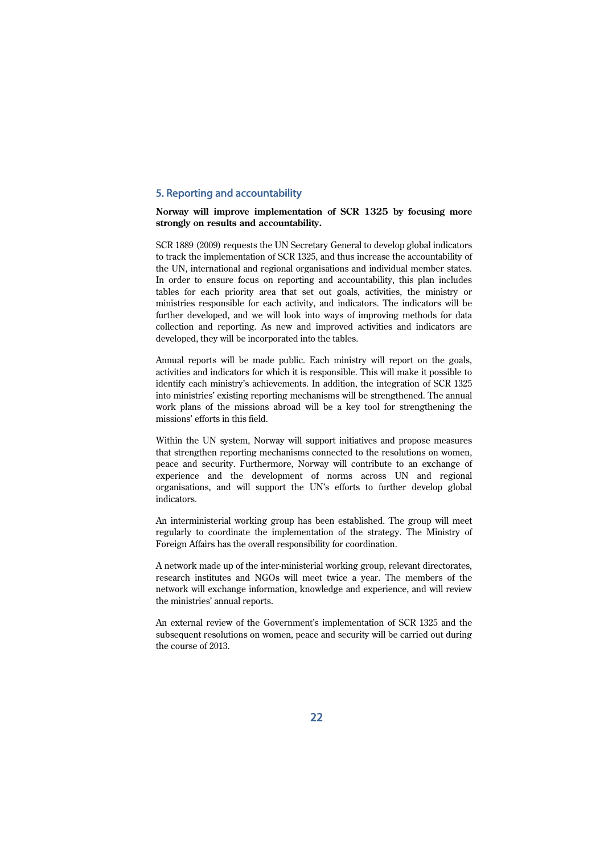# 5. Reporting and accountability

## **Norway will improve implementation of SCR 1325 by focusing more strongly on results and accountability.**

SCR 1889 (2009) requests the UN Secretary General to develop global indicators to track the implementation of SCR 1325, and thus increase the accountability of the UN, international and regional organisations and individual member states. In order to ensure focus on reporting and accountability, this plan includes tables for each priority area that set out goals, activities, the ministry or ministries responsible for each activity, and indicators. The indicators will be further developed, and we will look into ways of improving methods for data collection and reporting. As new and improved activities and indicators are developed, they will be incorporated into the tables.

Annual reports will be made public. Each ministry will report on the goals, activities and indicators for which it is responsible. This will make it possible to identify each ministry's achievements. In addition, the integration of SCR 1325 into ministries' existing reporting mechanisms will be strengthened. The annual work plans of the missions abroad will be a key tool for strengthening the missions' efforts in this field.

Within the UN system, Norway will support initiatives and propose measures that strengthen reporting mechanisms connected to the resolutions on women, peace and security. Furthermore, Norway will contribute to an exchange of experience and the development of norms across UN and regional organisations, and will support the UN's efforts to further develop global indicators.

An interministerial working group has been established. The group will meet regularly to coordinate the implementation of the strategy. The Ministry of Foreign Affairs has the overall responsibility for coordination.

A network made up of the inter-ministerial working group, relevant directorates, research institutes and NGOs will meet twice a year. The members of the network will exchange information, knowledge and experience, and will review the ministries' annual reports.

An external review of the Government's implementation of SCR 1325 and the subsequent resolutions on women, peace and security will be carried out during the course of 2013.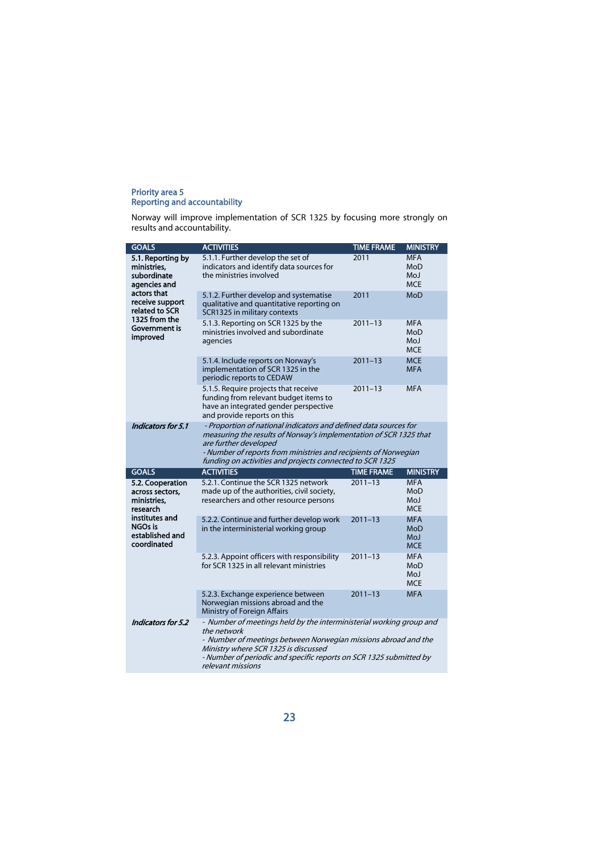#### Priority area 5 Reporting and accountability

Norway will improve implementation of SCR 1325 by focusing more strongly on results and accountability.

| <b>GOALS</b>                                                                                                                                                      | <b>ACTIVITIES</b>                                                                                                                                                                                                                                                                             | <b>TIME FRAME</b> | <b>MINISTRY</b>                               |
|-------------------------------------------------------------------------------------------------------------------------------------------------------------------|-----------------------------------------------------------------------------------------------------------------------------------------------------------------------------------------------------------------------------------------------------------------------------------------------|-------------------|-----------------------------------------------|
| 5.1. Reporting by<br>ministries,<br>subordinate<br>agencies and<br>actors that<br>receive support<br>related to SCR<br>1325 from the<br>Government is<br>improved | 5.1.1. Further develop the set of<br>indicators and identify data sources for<br>the ministries involved                                                                                                                                                                                      | 2011              | <b>MFA</b><br>MoD<br>MoJ<br><b>MCE</b>        |
|                                                                                                                                                                   | 5.1.2. Further develop and systematise<br>qualitative and quantitative reporting on<br>SCR1325 in military contexts                                                                                                                                                                           | 2011              | <b>MoD</b>                                    |
|                                                                                                                                                                   | 5.1.3. Reporting on SCR 1325 by the<br>ministries involved and subordinate<br>agencies                                                                                                                                                                                                        | $2011 - 13$       | <b>MFA</b><br>MoD<br>MoJ<br><b>MCE</b>        |
|                                                                                                                                                                   | 5.1.4. Include reports on Norway's<br>implementation of SCR 1325 in the<br>periodic reports to CEDAW                                                                                                                                                                                          | $2011 - 13$       | <b>MCE</b><br><b>MFA</b>                      |
|                                                                                                                                                                   | 5.1.5. Require projects that receive<br>funding from relevant budget items to<br>have an integrated gender perspective<br>and provide reports on this                                                                                                                                         | $2011 - 13$       | <b>MFA</b>                                    |
| Indicators for 5.1                                                                                                                                                | - Proportion of national indicators and defined data sources for<br>measuring the results of Norway's implementation of SCR 1325 that<br>are further developed<br>- Number of reports from ministries and recipients of Norwegian<br>funding on activities and projects connected to SCR 1325 |                   |                                               |
| <b>GOALS</b>                                                                                                                                                      | <b>ACTIVITIES</b>                                                                                                                                                                                                                                                                             | <b>TIME FRAME</b> | <b>MINISTRY</b>                               |
| 5.2. Cooperation<br>across sectors,<br>ministries.<br>research<br>institutes and<br>NGOs is<br>established and<br>coordinated                                     | 5.2.1. Continue the SCR 1325 network<br>made up of the authorities, civil society,<br>researchers and other resource persons                                                                                                                                                                  | $2011 - 13$       | <b>MFA</b><br>MoD<br>MoJ<br><b>MCE</b>        |
|                                                                                                                                                                   | 5.2.2. Continue and further develop work<br>in the interministerial working group                                                                                                                                                                                                             | $2011 - 13$       | <b>MFA</b><br>MoD<br><b>MoJ</b><br><b>MCE</b> |
|                                                                                                                                                                   | 5.2.3. Appoint officers with responsibility<br>for SCR 1325 in all relevant ministries                                                                                                                                                                                                        | $2011 - 13$       | <b>MFA</b><br>MoD<br><b>MoJ</b><br><b>MCE</b> |
|                                                                                                                                                                   | 5.2.3. Exchange experience between<br>Norwegian missions abroad and the<br>Ministry of Foreign Affairs                                                                                                                                                                                        | $2011 - 13$       | <b>MFA</b>                                    |
| Indicators for 5.2                                                                                                                                                | - Number of meetings held by the interministerial working group and<br>the network<br>- Number of meetings between Norwegian missions abroad and the<br>Ministry where SCR 1325 is discussed<br>- Number of periodic and specific reports on SCR 1325 submitted by<br>relevant missions       |                   |                                               |